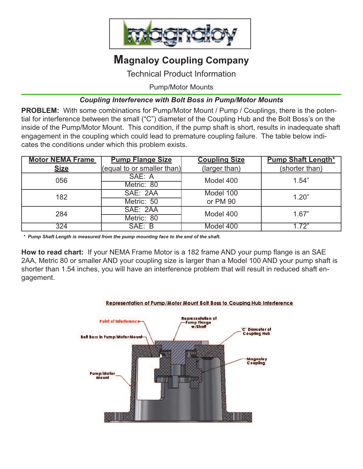

## **Magnaloy Coupling Company**

Technical Product Information

Pump/Motor Mounts

## *Coupling Interference with Bolt Boss in Pump/Motor Mounts*

**PROBLEM:** With some combinations for Pump/Motor Mount / Pump / Couplings, there is the potential for interference between the small ("C") diameter of the Coupling Hub and the Bolt Boss's on the inside of the Pump/Motor Mount. This condition, if the pump shaft is short, results in inadequate shaft engagement in the coupling which could lead to premature coupling failure. The table below indicates the conditions under which this problem exists.

| <b>Motor NEMA Frame</b> | <b>Pump Flange Size</b>           | <b>Coupling Size</b> | <b>Pump Shaft Length*</b> |
|-------------------------|-----------------------------------|----------------------|---------------------------|
| <b>Size</b>             | <u>(equal to or smaller than)</u> | (larger than)        | (shorter than)            |
| 056                     | SAE: A                            | Model 400            | 1.54"                     |
|                         | Metric: 80                        |                      |                           |
| 182                     | SAE: 2AA                          | Model 100            | 1.20"                     |
|                         | Metric: 50                        | or PM 90             |                           |
| 284                     | SAE: 2AA                          | Model 400            | 1.67"                     |
|                         | Metric: 80                        |                      |                           |
| 324                     | SAE: B                            | Model 400            | 1.72"                     |

*\* Pump Shaft Length is measured from the pump mounting face to the end of the shaft.*

**How to read chart:** If your NEMA Frame Motor is a 182 frame AND your pump flange is an SAE 2AA, Metric 80 or smaller AND your coupling size is larger than a Model 100 AND your pump shaft is shorter than 1.54 inches, you will have an interference problem that will result in reduced shaft engagement.